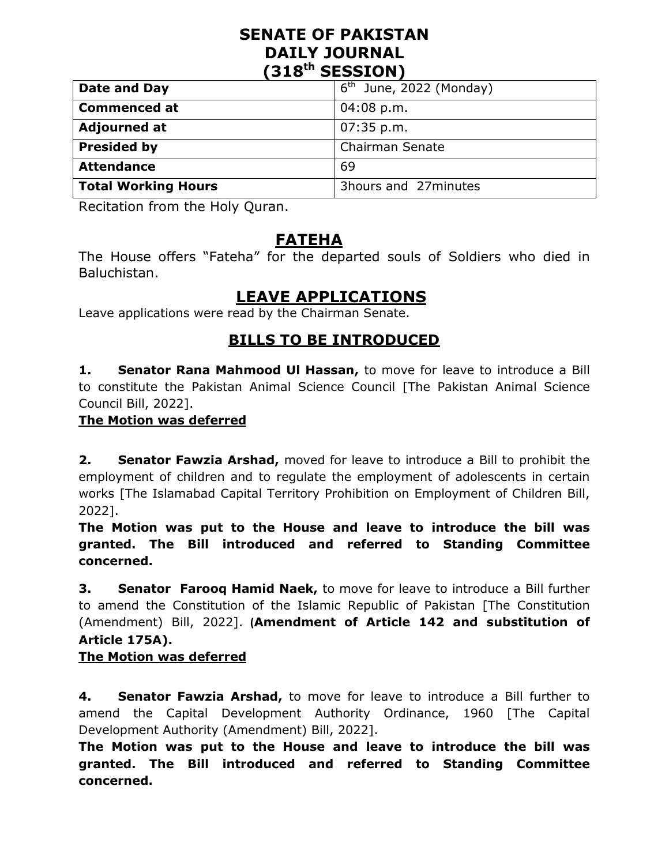# **SENATE OF PAKISTAN DAILY JOURNAL (318th SESSION)**

| Date and Day        | $6th$ June, 2022 (Monday) |
|---------------------|---------------------------|
| <b>Commenced at</b> | $04:08$ p.m.              |
| <b>Adjourned at</b> | 07:35 p.m.                |
| <b>Presided by</b>  | <b>Chairman Senate</b>    |
| <b>Attendance</b>   | 69                        |
| Total Working Hours | 3hours and 27minutes      |

Recitation from the Holy Quran.

# **FATEHA**

The House offers "Fateha" for the departed souls of Soldiers who died in Baluchistan.

# **LEAVE APPLICATIONS**

Leave applications were read by the Chairman Senate.

# **BILLS TO BE INTRODUCED**

**1. Senator Rana Mahmood Ul Hassan,** to move for leave to introduce a Bill to constitute the Pakistan Animal Science Council [The Pakistan Animal Science Council Bill, 2022].

## **The Motion was deferred**

**2. Senator Fawzia Arshad,** moved for leave to introduce a Bill to prohibit the employment of children and to regulate the employment of adolescents in certain works [The Islamabad Capital Territory Prohibition on Employment of Children Bill, 2022].

**The Motion was put to the House and leave to introduce the bill was granted. The Bill introduced and referred to Standing Committee concerned.**

**3. Senator Farooq Hamid Naek,** to move for leave to introduce a Bill further to amend the Constitution of the Islamic Republic of Pakistan [The Constitution (Amendment) Bill, 2022]. **(Amendment of Article 142 and substitution of Article 175A).**

## **The Motion was deferred**

**4. Senator Fawzia Arshad,** to move for leave to introduce a Bill further to amend the Capital Development Authority Ordinance, 1960 [The Capital Development Authority (Amendment) Bill, 2022].

**The Motion was put to the House and leave to introduce the bill was granted. The Bill introduced and referred to Standing Committee concerned.**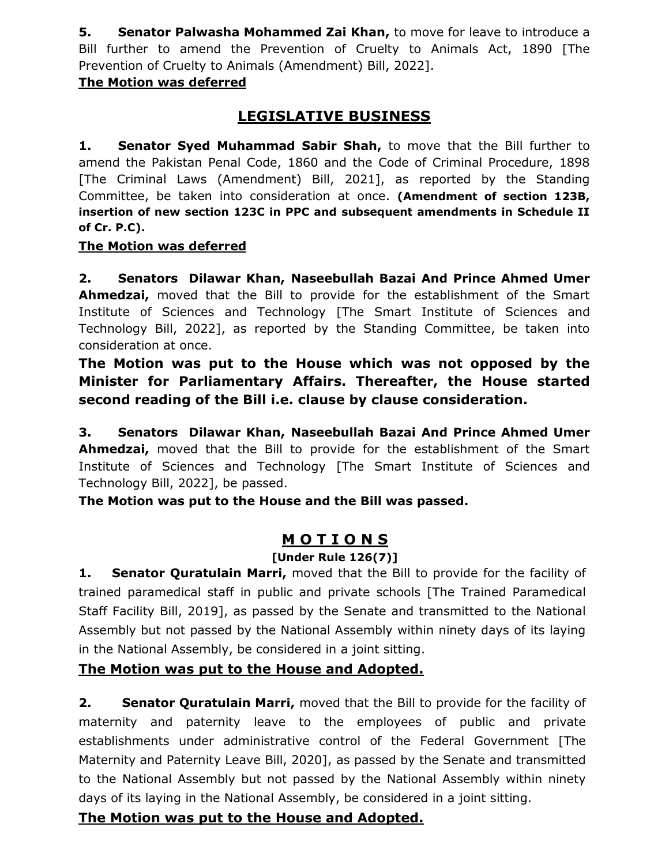**5. Senator Palwasha Mohammed Zai Khan,** to move for leave to introduce a Bill further to amend the Prevention of Cruelty to Animals Act, 1890 [The Prevention of Cruelty to Animals (Amendment) Bill, 2022].

#### **The Motion was deferred**

# **LEGISLATIVE BUSINESS**

**1. Senator Syed Muhammad Sabir Shah,** to move that the Bill further to amend the Pakistan Penal Code, 1860 and the Code of Criminal Procedure, 1898 [The Criminal Laws (Amendment) Bill, 2021], as reported by the Standing Committee, be taken into consideration at once. **(Amendment of section 123B, insertion of new section 123C in PPC and subsequent amendments in Schedule II of Cr. P.C).**

#### **The Motion was deferred**

**2. Senators Dilawar Khan, Naseebullah Bazai And Prince Ahmed Umer Ahmedzai,** moved that the Bill to provide for the establishment of the Smart Institute of Sciences and Technology [The Smart Institute of Sciences and Technology Bill, 2022], as reported by the Standing Committee, be taken into consideration at once.

**The Motion was put to the House which was not opposed by the Minister for Parliamentary Affairs. Thereafter, the House started second reading of the Bill i.e. clause by clause consideration.**

**3. Senators Dilawar Khan, Naseebullah Bazai And Prince Ahmed Umer Ahmedzai,** moved that the Bill to provide for the establishment of the Smart Institute of Sciences and Technology [The Smart Institute of Sciences and Technology Bill, 2022], be passed.

**The Motion was put to the House and the Bill was passed.**

# **M O T I O N S**

## **[Under Rule 126(7)]**

**1. Senator Quratulain Marri,** moved that the Bill to provide for the facility of trained paramedical staff in public and private schools [The Trained Paramedical Staff Facility Bill, 2019], as passed by the Senate and transmitted to the National Assembly but not passed by the National Assembly within ninety days of its laying in the National Assembly, be considered in a joint sitting.

# **The Motion was put to the House and Adopted.**

**2. Senator Quratulain Marri,** moved that the Bill to provide for the facility of maternity and paternity leave to the employees of public and private establishments under administrative control of the Federal Government [The Maternity and Paternity Leave Bill, 2020], as passed by the Senate and transmitted to the National Assembly but not passed by the National Assembly within ninety days of its laying in the National Assembly, be considered in a joint sitting.

**The Motion was put to the House and Adopted.**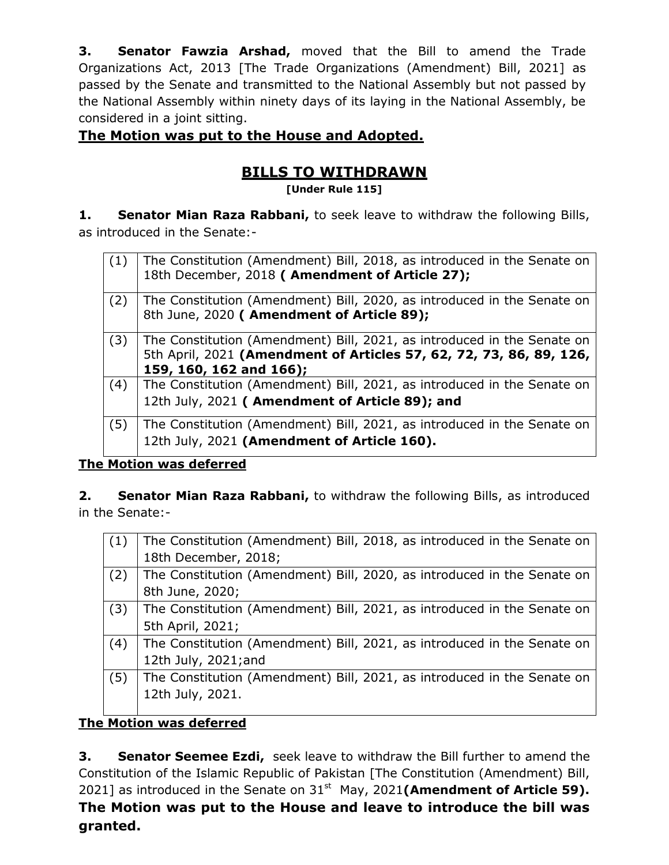**3. Senator Fawzia Arshad,** moved that the Bill to amend the Trade Organizations Act, 2013 [The Trade Organizations (Amendment) Bill, 2021] as passed by the Senate and transmitted to the National Assembly but not passed by the National Assembly within ninety days of its laying in the National Assembly, be considered in a joint sitting.

# **The Motion was put to the House and Adopted.**

# **BILLS TO WITHDRAWN**

**[Under Rule 115]**

**1. Senator Mian Raza Rabbani,** to seek leave to withdraw the following Bills, as introduced in the Senate:-

| (1) | The Constitution (Amendment) Bill, 2018, as introduced in the Senate on<br>18th December, 2018 ( Amendment of Article 27);                                                |
|-----|---------------------------------------------------------------------------------------------------------------------------------------------------------------------------|
| (2) | The Constitution (Amendment) Bill, 2020, as introduced in the Senate on<br>8th June, 2020 (Amendment of Article 89);                                                      |
| (3) | The Constitution (Amendment) Bill, 2021, as introduced in the Senate on<br>5th April, 2021 (Amendment of Articles 57, 62, 72, 73, 86, 89, 126,<br>159, 160, 162 and 166); |
| (4) | The Constitution (Amendment) Bill, 2021, as introduced in the Senate on<br>12th July, 2021 (Amendment of Article 89); and                                                 |
| (5) | The Constitution (Amendment) Bill, 2021, as introduced in the Senate on<br>12th July, 2021 (Amendment of Article 160).                                                    |

## **The Motion was deferred**

**2. Senator Mian Raza Rabbani,** to withdraw the following Bills, as introduced in the Senate:-

| (1) | The Constitution (Amendment) Bill, 2018, as introduced in the Senate on |
|-----|-------------------------------------------------------------------------|
|     | 18th December, 2018;                                                    |
| (2) | The Constitution (Amendment) Bill, 2020, as introduced in the Senate on |
|     | 8th June, 2020;                                                         |
| (3) | The Constitution (Amendment) Bill, 2021, as introduced in the Senate on |
|     | 5th April, 2021;                                                        |
| (4) | The Constitution (Amendment) Bill, 2021, as introduced in the Senate on |
|     | 12th July, 2021; and                                                    |
| (5) | The Constitution (Amendment) Bill, 2021, as introduced in the Senate on |
|     | 12th July, 2021.                                                        |
|     |                                                                         |

# **The Motion was deferred**

**3. Senator Seemee Ezdi,** seek leave to withdraw the Bill further to amend the Constitution of the Islamic Republic of Pakistan [The Constitution (Amendment) Bill, 2021] as introduced in the Senate on  $31<sup>st</sup>$  May, 2021 (Amendment of Article 59). **The Motion was put to the House and leave to introduce the bill was granted.**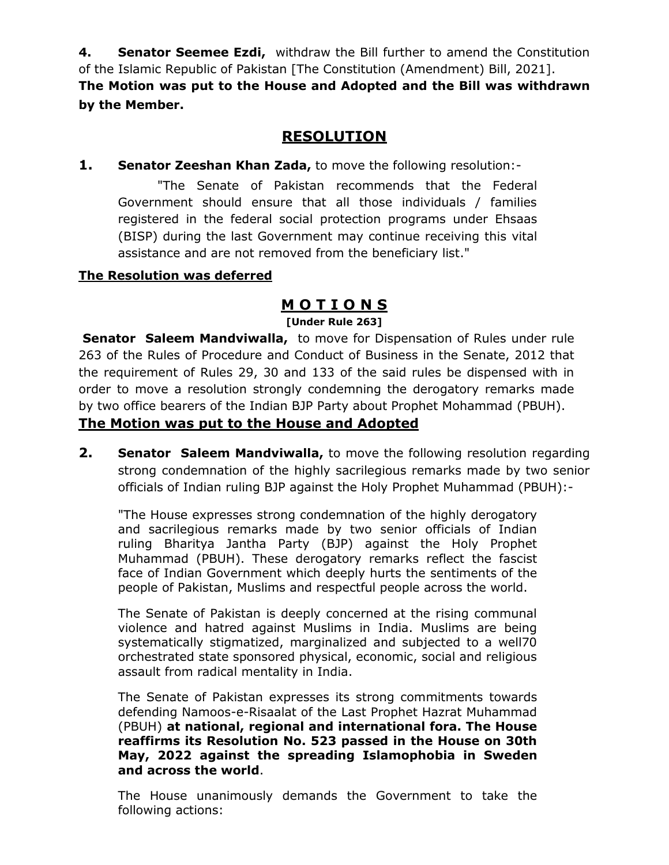**4. Senator Seemee Ezdi,** withdraw the Bill further to amend the Constitution of the Islamic Republic of Pakistan [The Constitution (Amendment) Bill, 2021]. **The Motion was put to the House and Adopted and the Bill was withdrawn by the Member.**

# **RESOLUTION**

**1. Senator Zeeshan Khan Zada,** to move the following resolution:-

"The Senate of Pakistan recommends that the Federal Government should ensure that all those individuals / families registered in the federal social protection programs under Ehsaas (BISP) during the last Government may continue receiving this vital assistance and are not removed from the beneficiary list."

## **The Resolution was deferred**

# **M O T I O N S**

**[Under Rule 263]**

**Senator Saleem Mandviwalla,** to move for Dispensation of Rules under rule 263 of the Rules of Procedure and Conduct of Business in the Senate, 2012 that the requirement of Rules 29, 30 and 133 of the said rules be dispensed with in order to move a resolution strongly condemning the derogatory remarks made by two office bearers of the Indian BJP Party about Prophet Mohammad (PBUH).

## **The Motion was put to the House and Adopted**

**2. Senator Saleem Mandviwalla,** to move the following resolution regarding strong condemnation of the highly sacrilegious remarks made by two senior officials of Indian ruling BJP against the Holy Prophet Muhammad (PBUH):-

"The House expresses strong condemnation of the highly derogatory and sacrilegious remarks made by two senior officials of Indian ruling Bharitya Jantha Party (BJP) against the Holy Prophet Muhammad (PBUH). These derogatory remarks reflect the fascist face of Indian Government which deeply hurts the sentiments of the people of Pakistan, Muslims and respectful people across the world.

The Senate of Pakistan is deeply concerned at the rising communal violence and hatred against Muslims in India. Muslims are being systematically stigmatized, marginalized and subjected to a well70 orchestrated state sponsored physical, economic, social and religious assault from radical mentality in India.

The Senate of Pakistan expresses its strong commitments towards defending Namoos-e-Risaalat of the Last Prophet Hazrat Muhammad (PBUH) **at national, regional and international fora. The House reaffirms its Resolution No. 523 passed in the House on 30th May, 2022 against the spreading Islamophobia in Sweden and across the world**.

The House unanimously demands the Government to take the following actions: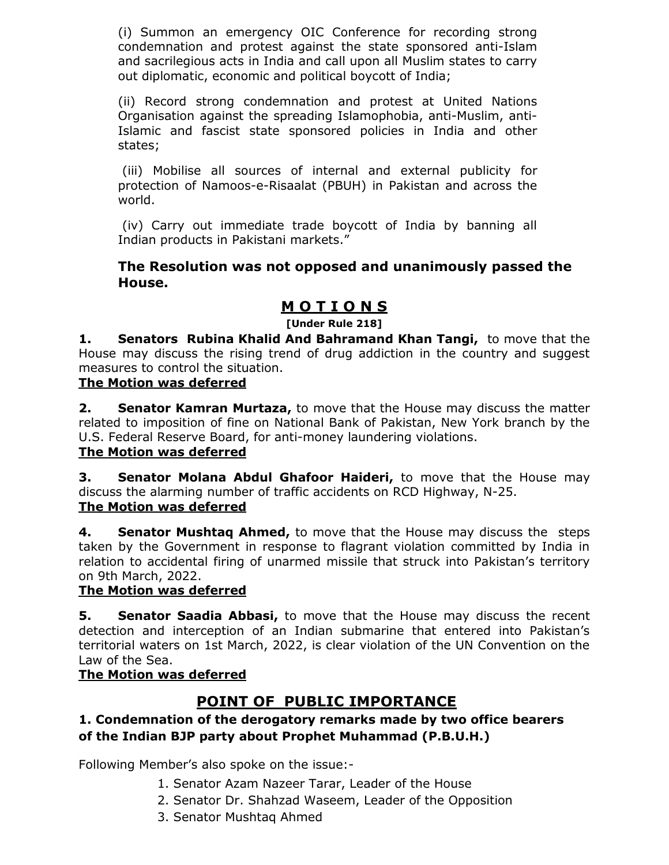(i) Summon an emergency OIC Conference for recording strong condemnation and protest against the state sponsored anti-Islam and sacrilegious acts in India and call upon all Muslim states to carry out diplomatic, economic and political boycott of India;

(ii) Record strong condemnation and protest at United Nations Organisation against the spreading Islamophobia, anti-Muslim, anti-Islamic and fascist state sponsored policies in India and other states;

(iii) Mobilise all sources of internal and external publicity for protection of Namoos-e-Risaalat (PBUH) in Pakistan and across the world.

(iv) Carry out immediate trade boycott of India by banning all Indian products in Pakistani markets."

## **The Resolution was not opposed and unanimously passed the House.**

# **M O T I O N S**

**[Under Rule 218]**

**1. Senators Rubina Khalid And Bahramand Khan Tangi,** to move that the House may discuss the rising trend of drug addiction in the country and suggest measures to control the situation.

## **The Motion was deferred**

**2. Senator Kamran Murtaza,** to move that the House may discuss the matter related to imposition of fine on National Bank of Pakistan, New York branch by the U.S. Federal Reserve Board, for anti-money laundering violations.

#### **The Motion was deferred**

**3. Senator Molana Abdul Ghafoor Haideri,** to move that the House may discuss the alarming number of traffic accidents on RCD Highway, N-25. **The Motion was deferred**

**4. Senator Mushtaq Ahmed,** to move that the House may discuss the steps taken by the Government in response to flagrant violation committed by India in relation to accidental firing of unarmed missile that struck into Pakistan's territory on 9th March, 2022.

## **The Motion was deferred**

**5. Senator Saadia Abbasi,** to move that the House may discuss the recent detection and interception of an Indian submarine that entered into Pakistan's territorial waters on 1st March, 2022, is clear violation of the UN Convention on the Law of the Sea.

## **The Motion was deferred**

# **POINT OF PUBLIC IMPORTANCE**

## **1. Condemnation of the derogatory remarks made by two office bearers of the Indian BJP party about Prophet Muhammad (P.B.U.H.)**

Following Member's also spoke on the issue:-

- 1. Senator Azam Nazeer Tarar, Leader of the House
- 2. Senator Dr. Shahzad Waseem, Leader of the Opposition
- 3. Senator Mushtaq Ahmed